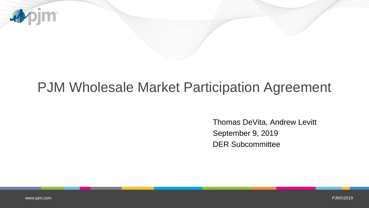

# PJM Wholesale Market Participation Agreement

Thomas DeVita, Andrew Levitt September 9, 2019 DER Subcommittee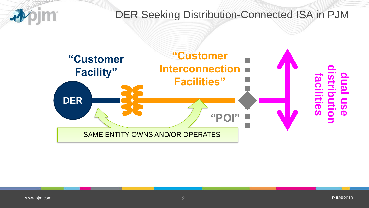### DER Seeking Distribution-Connected ISA in PJM

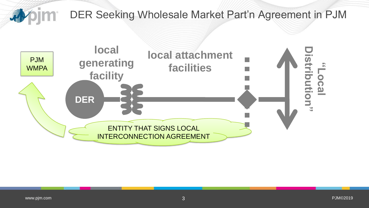

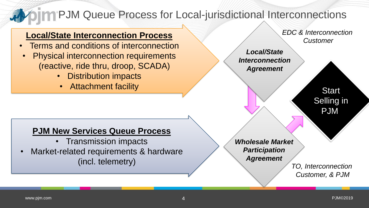#### **DIM PJM Queue Process for Local-jurisdictional Interconnections A**

### **Local/State Interconnection Process**

- Terms and conditions of interconnection
- Physical interconnection requirements (reactive, ride thru, droop, SCADA)
	- Distribution impacts
	- Attachment facility

*EDC & Interconnection Customer*

*Local/State Interconnection Agreement*

> **Start** Selling in **PJM**

### **PJM New Services Queue Process**

- Transmission impacts
- Market-related requirements & hardware (incl. telemetry)

*Wholesale Market Participation Agreement*

*TO, Interconnection Customer, & PJM*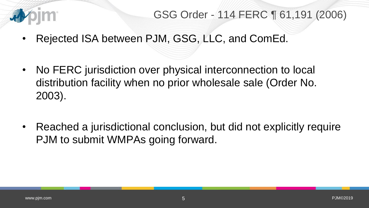

## GSG Order - 114 FERC ¶ 61,191 (2006)

- Rejected ISA between PJM, GSG, LLC, and ComEd.
- No FERC jurisdiction over physical interconnection to local distribution facility when no prior wholesale sale (Order No. 2003).
- Reached a jurisdictional conclusion, but did not explicitly require PJM to submit WMPAs going forward.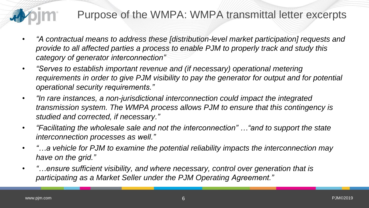

## Purpose of the WMPA: WMPA transmittal letter excerpts

- *"A contractual means to address these [distribution-level market participation] requests and provide to all affected parties a process to enable PJM to properly track and study this category of generator interconnection"*
- *"Serves to establish important revenue and (if necessary) operational metering requirements in order to give PJM visibility to pay the generator for output and for potential operational security requirements."*
- $\bullet$ *"In rare instances, a non-jurisdictional interconnection could impact the integrated transmission system. The WMPA process allows PJM to ensure that this contingency is studied and corrected, if necessary."*
- $\bullet$ *"Facilitating the wholesale sale and not the interconnection" …"and to support the state interconnection processes as well."*
- *"…a vehicle for PJM to examine the potential reliability impacts the interconnection may have on the grid."*
- *"…ensure sufficient visibility, and where necessary, control over generation that is participating as a Market Seller under the PJM Operating Agreement."*